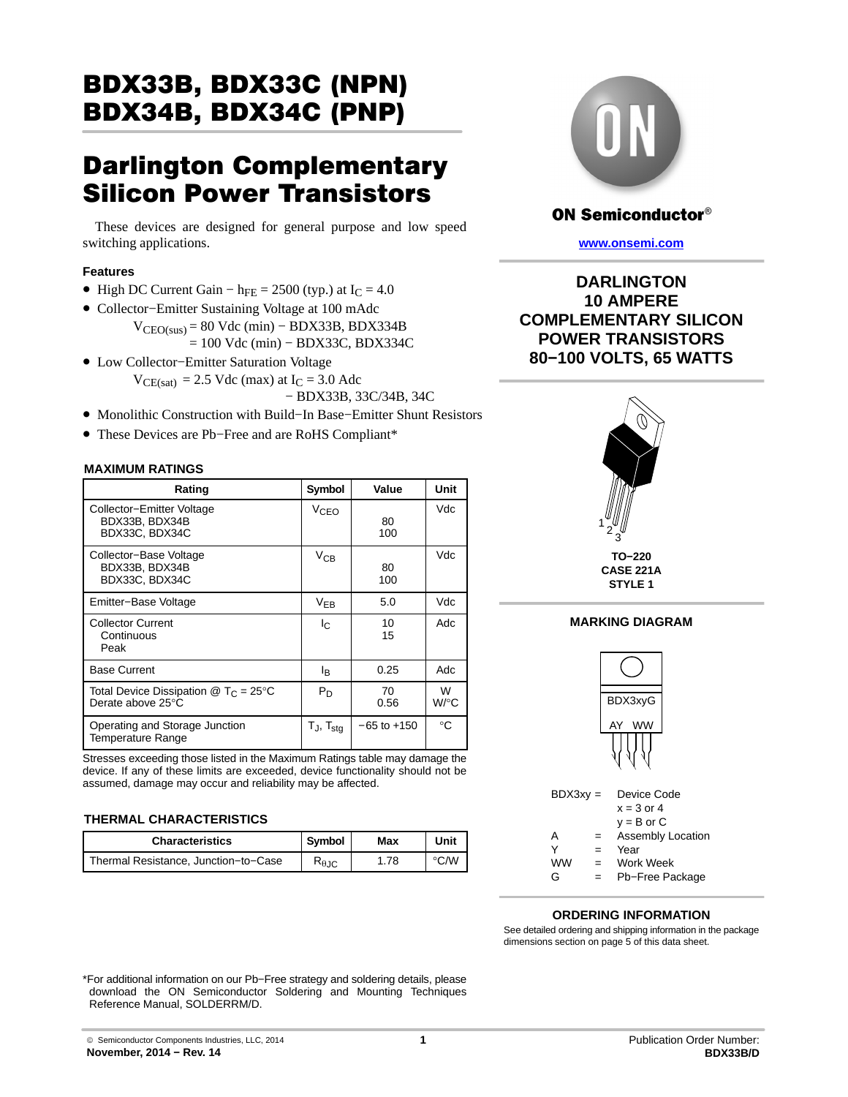# BDX33B, BDX33C (NPN) <u>BBX34C (PNP)</u>

# **Darlington Complementary<br>Silicon Power Transistors**

These devices are designed for general purpose and low speed switching applications.

#### **Features**

- High DC Current Gain h<sub>FE</sub> = 2500 (typ.) at  $I_C = 4.0$
- Collector−Emitter Sustaining Voltage at 100 mAdc  $V_{CEO(sus)} = 80$  Vdc (min) – BDX33B, BDX334B = 100 Vdc (min) − BDX33C, BDX334C
- Low Collector−Emitter Saturation Voltage  $V_{CE(sat)} = 2.5$  Vdc (max) at  $I_C = 3.0$  Adc − BDX33B, 33C/34B, 34C
- Monolithic Construction with Build−In Base−Emitter Shunt Resistors
- These Devices are Pb−Free and are RoHS Compliant\*

#### **MAXIMUM RATINGS**

| Rating                                                                  | Symbol                   | Value           | Unit      |
|-------------------------------------------------------------------------|--------------------------|-----------------|-----------|
| Collector-Emitter Voltage<br>BDX33B, BDX34B<br>BDX33C, BDX34C           | V <sub>CEO</sub>         | 80<br>100       | Vdc       |
| Collector-Base Voltage<br>BDX33B, BDX34B<br>BDX33C, BDX34C              | $V_{CB}$                 | 80<br>100       | Vdc       |
| Emitter-Base Voltage                                                    | $V_{EB}$                 | 5.0             | Vdc       |
| <b>Collector Current</b><br>Continuous<br>Peak                          | I <sub>C</sub>           | 10<br>15        | Adc       |
| <b>Base Current</b>                                                     | lв.                      | 0.25            | Adc       |
| Total Device Dissipation $@$ T <sub>C</sub> = 25°C<br>Derate above 25°C | P <sub>D</sub>           | 70<br>0.56      | W<br>W/°C |
| Operating and Storage Junction<br><b>Temperature Range</b>              | $T_J$ , $T_{\text{stq}}$ | $-65$ to $+150$ | °C        |

Stresses exceeding those listed in the Maximum Ratings table may damage the device. If any of these limits are exceeded, device functionality should not be assumed, damage may occur and reliability may be affected.

#### **THERMAL CHARACTERISTICS**

| <b>Characteristics</b>               | Symbol                 | Max | Unit |
|--------------------------------------|------------------------|-----|------|
| Thermal Resistance, Junction-to-Case | $R_{\theta \text{JC}}$ | .78 | °C/W |



## **ON Semiconductor®**

**[www.onsemi.com](http://www.onsemi.com/)**

**DARLINGTON 10 AMPERE COMPLEMENTARY SILICON POWER TRANSISTORS 80−100 VOLTS, 65 WATTS**



### **MARKING DIAGRAM**



#### **ORDERING INFORMATION**

See detailed ordering and shipping information in the package dimensions section on page [5](#page-4-0) of this data sheet.

\*For additional information on our Pb−Free strategy and soldering details, please download the ON Semiconductor Soldering and Mounting Techniques Reference Manual, SOLDERRM/D.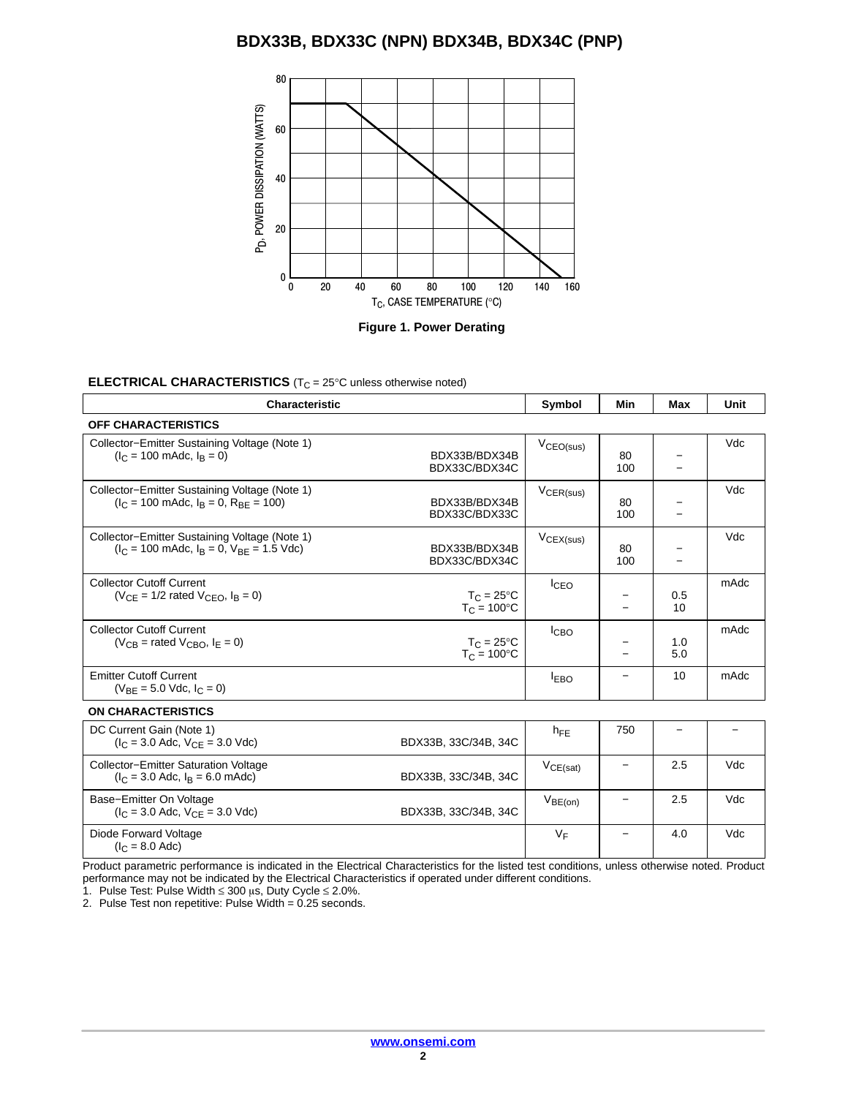

#### **ELECTRICAL CHARACTERISTICS** (T<sub>C</sub> = 25°C unless otherwise noted)

| <b>Characteristic</b>                                                                                                 |                                             | Symbol           | Min       | Max        | Unit |
|-----------------------------------------------------------------------------------------------------------------------|---------------------------------------------|------------------|-----------|------------|------|
| <b>OFF CHARACTERISTICS</b>                                                                                            |                                             |                  |           |            |      |
| Collector-Emitter Sustaining Voltage (Note 1)<br>$(I_C = 100 \text{ m}$ Adc, $I_B = 0$ )                              | BDX33B/BDX34B<br>BDX33C/BDX34C              | $V_{CEO(sus)}$   | 80<br>100 |            | Vdc  |
| Collector-Emitter Sustaining Voltage (Note 1)<br>$I_C = 100$ mAdc, $I_B = 0$ , $R_{BF} = 100$ )                       | BDX33B/BDX34B<br>BDX33C/BDX33C              | $V_{CER(sus)}$   | 80<br>100 |            | Vdc  |
| Collector-Emitter Sustaining Voltage (Note 1)<br>$(I_C = 100 \text{ m}$ Adc, $I_R = 0$ , $V_{RE} = 1.5 \text{ V}$ dc) | BDX33B/BDX34B<br>BDX33C/BDX34C              | $V_{CEX(sus)}$   | 80<br>100 |            | Vdc  |
| <b>Collector Cutoff Current</b><br>$(VCF = 1/2$ rated $VCFO$ , $IB = 0$ )                                             | $T_C = 25^{\circ}C$<br>$T_C = 100^{\circ}C$ | <sup>I</sup> CEO |           | 0.5<br>10  | mAdc |
| <b>Collector Cutoff Current</b><br>$(V_{CB}$ = rated $V_{CBO}$ , $I_F = 0$ )                                          | $T_C = 25^{\circ}C$<br>$T_C = 100^{\circ}C$ | <b>I</b> CBO     |           | 1.0<br>5.0 | mAdc |
| <b>Emitter Cutoff Current</b><br>$(V_{BF} = 5.0$ Vdc, $I_C = 0$ )                                                     |                                             | <b>EBO</b>       |           | 10         | mAdc |
| <b>ON CHARACTERISTICS</b>                                                                                             |                                             |                  |           |            |      |

| DC Current Gain (Note 1)<br>$(I_C = 3.0$ Adc, $V_{CF} = 3.0$ Vdc)                  | BDX33B, 33C/34B, 34C | $h_{\text{FF}}$ | 750 |     |      |
|------------------------------------------------------------------------------------|----------------------|-----------------|-----|-----|------|
| <b>Collector-Emitter Saturation Voltage</b><br>$(I_C = 3.0$ Adc, $I_R = 6.0$ mAdc) | BDX33B, 33C/34B, 34C | VCE(sat)        |     | 2.5 | Vdc. |
| Base-Emitter On Voltage<br>$(I_C = 3.0$ Adc, $V_{CF} = 3.0$ Vdc)                   | BDX33B, 33C/34B, 34C | $V_{BE(on)}$    |     | 2.5 | Vdc  |
| Diode Forward Voltage<br>$(IC = 8.0$ Adc)                                          |                      | VF              |     | 4.0 | Vdc  |

Product parametric performance is indicated in the Electrical Characteristics for the listed test conditions, unless otherwise noted. Product performance may not be indicated by the Electrical Characteristics if operated under different conditions.

1. Pulse Test: Pulse Width  $\leq 300$  µs, Duty Cycle  $\leq 2.0\%$ .

2. Pulse Test non repetitive: Pulse Width  $= 0.25$  seconds.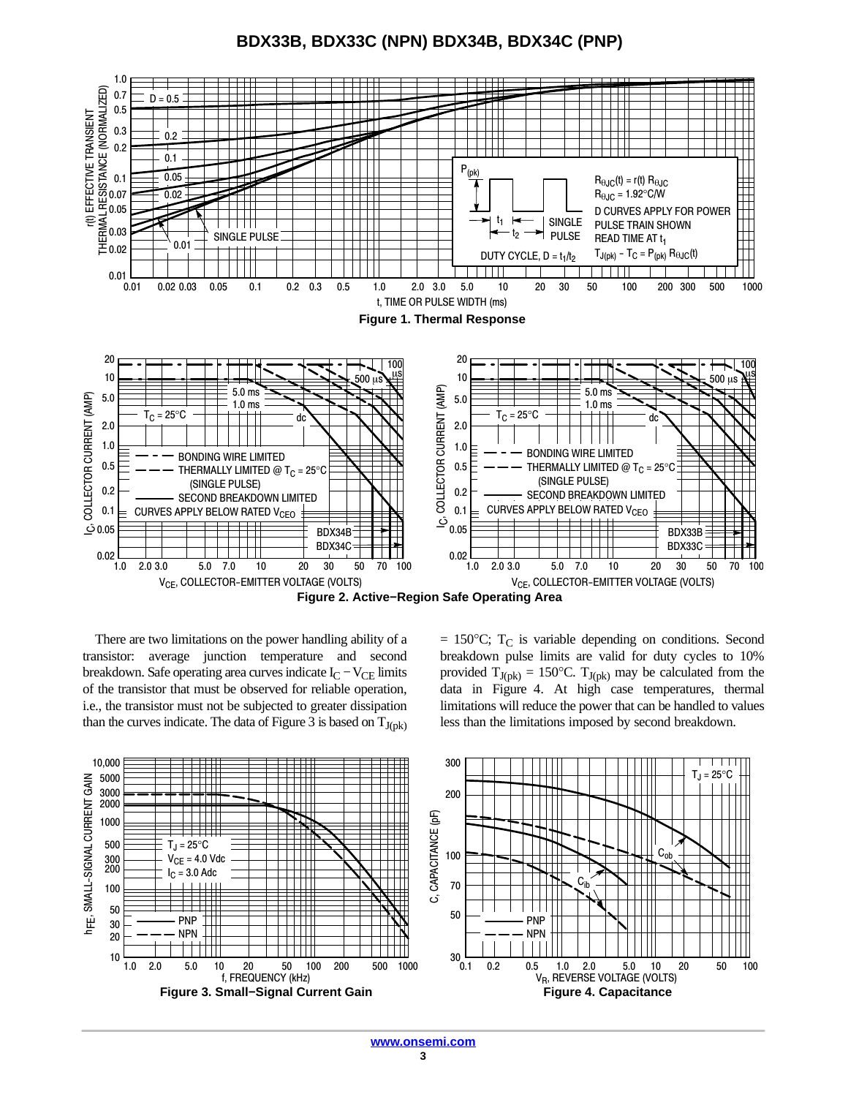**BDX33B, BDX33C (NPN) BDX34B, BDX34C (PNP)**



There are two limitations on the power handling ability of a transistor: average junction temperature and second breakdown. Safe operating area curves indicate  $I_C - V_{CE}$  limits of the transistor that must be observed for reliable operation, i.e., the transistor must not be subjected to greater dissipation than the curves indicate. The data of Figure 3 is based on  $T_{J(pk)}$   $= 150$ °C; T<sub>C</sub> is variable depending on conditions. Second breakdown pulse limits are valid for duty cycles to 10% provided  $T_{J(pk)} = 150^{\circ}C$ .  $T_{J(pk)}$  may be calculated from the data in Figure 4. At high case temperatures, thermal limitations will reduce the power that can be handled to values less than the limitations imposed by second breakdown.

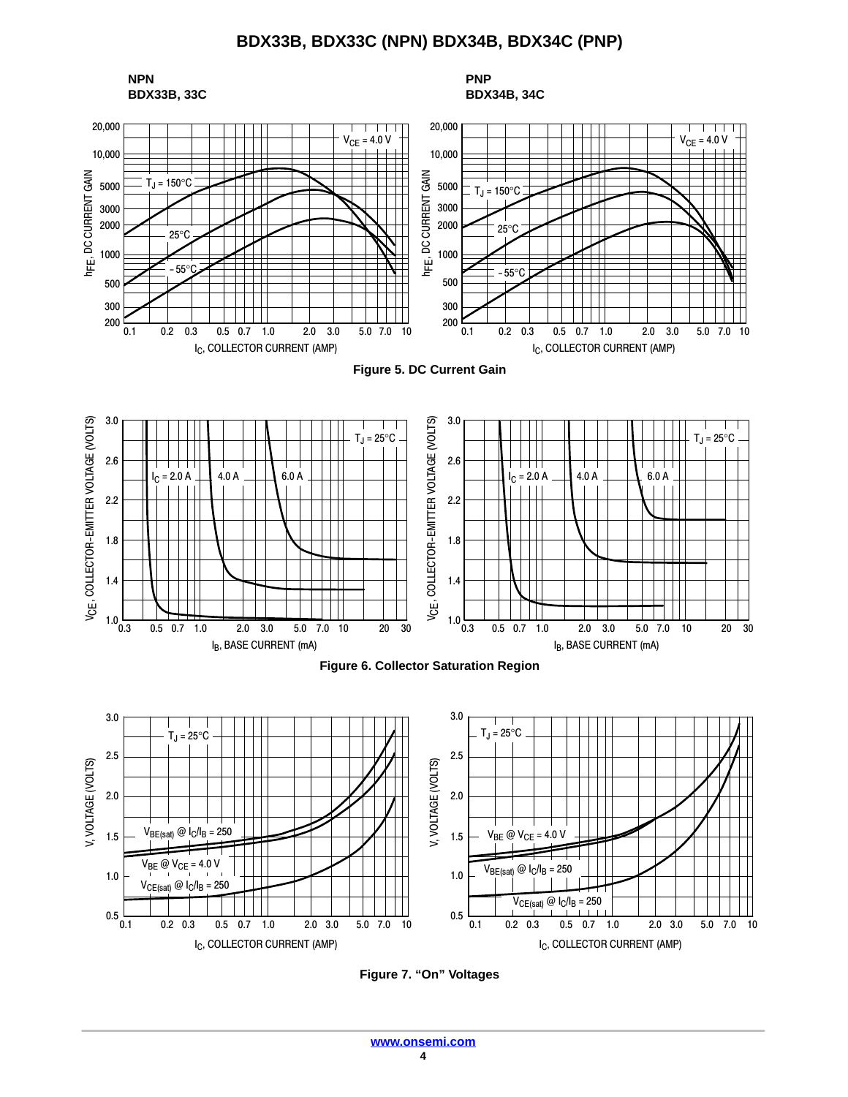

**Figure 7. "On" Voltages**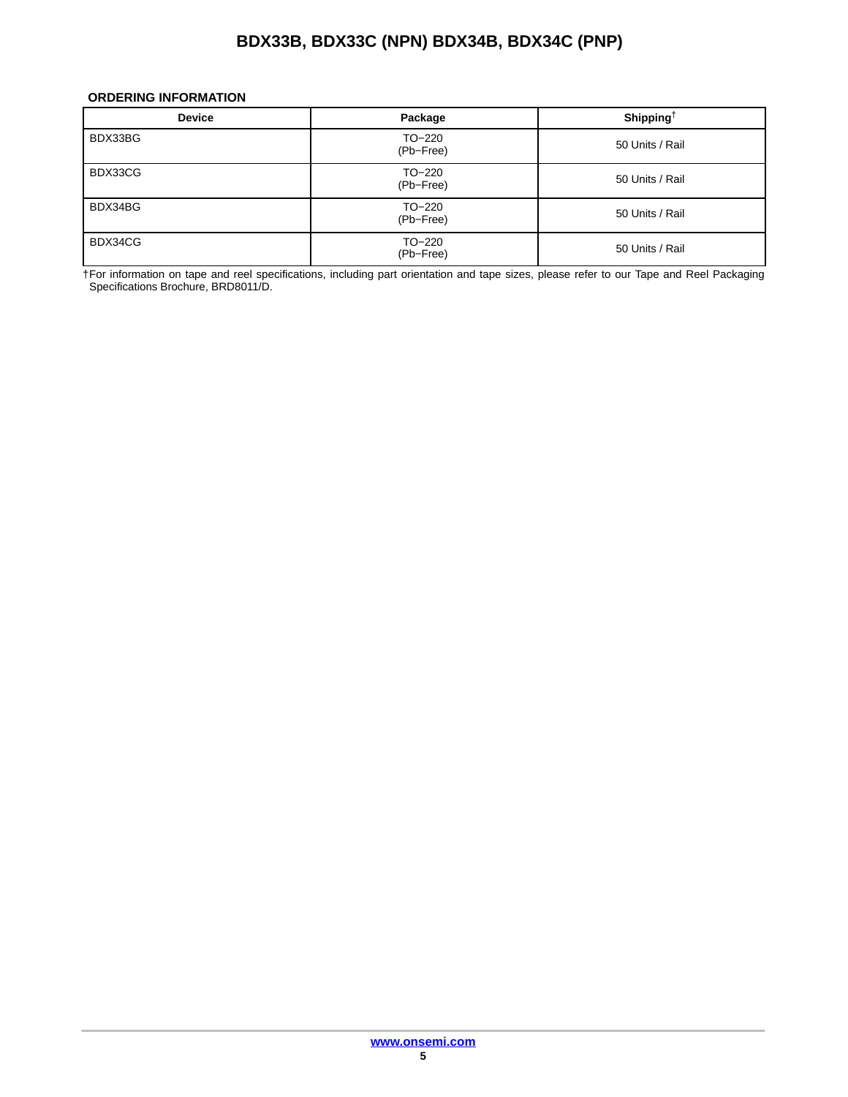#### <span id="page-4-0"></span>**ORDERING INFORMATION**

| <b>Device</b> | Package             | Shipping <sup>†</sup> |
|---------------|---------------------|-----------------------|
| BDX33BG       | TO-220<br>(Pb-Free) | 50 Units / Rail       |
| BDX33CG       | TO-220<br>(Pb-Free) | 50 Units / Rail       |
| BDX34BG       | TO-220<br>(Pb-Free) | 50 Units / Rail       |
| BDX34CG       | TO-220<br>(Pb-Free) | 50 Units / Rail       |

†For information on tape and reel specifications, including part orientation and tape sizes, please refer to our Tape and Reel Packaging Specifications Brochure, BRD8011/D.